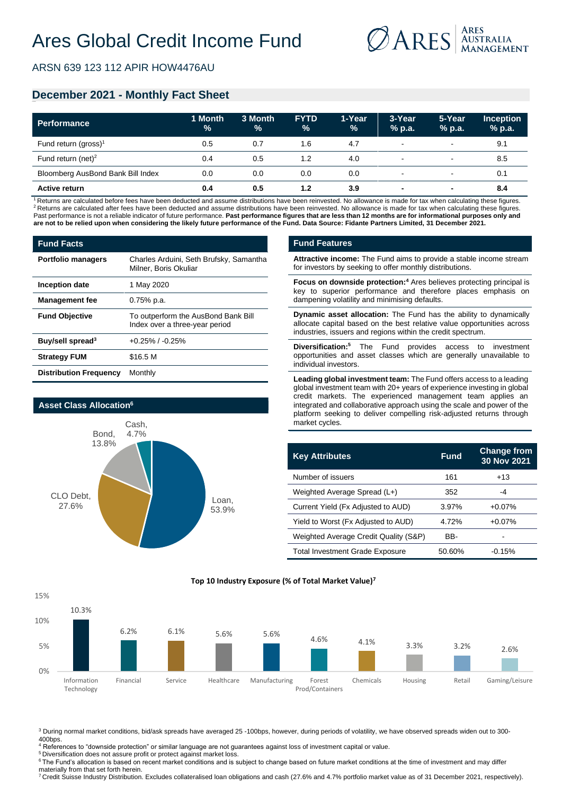

ARSN 639 123 112 APIR HOW4476AU

## **December 2021 - Monthly Fact Sheet**

| <b>Performance</b>                | 1 Month<br>$\%$ | 3 Month<br>% | <b>FYTD</b><br>$\frac{9}{6}$ | 1-Year<br>$\frac{9}{6}$ | 3-Year<br>$%$ p.a.       | 5-Year<br>% p.a.         | <b>Inception</b><br>$%$ p.a. |
|-----------------------------------|-----------------|--------------|------------------------------|-------------------------|--------------------------|--------------------------|------------------------------|
| Fund return (gross) <sup>1</sup>  | 0.5             | 0.7          | 1.6                          | 4.7                     | $\sim$                   | $\sim$                   | 9.1                          |
| Fund return (net) <sup>2</sup>    | 0.4             | 0.5          | 1.2                          | 4.0                     | $\sim$                   | $\sim$                   | 8.5                          |
| Bloomberg AusBond Bank Bill Index | 0.0             | 0.0          | 0.0                          | 0.0                     | $\sim$                   | $\sim$                   | 0.1                          |
| <b>Active return</b>              | 0.4             | 0.5          | 1.2                          | 3.9                     | $\overline{\phantom{0}}$ | $\overline{\phantom{a}}$ | 8.4                          |

<sup>1</sup>Returns are calculated before fees have been deducted and assume distributions have been reinvested. No allowance is made for tax when calculating these figures. <sup>2</sup> Returns are calculated after fees have been deducted and assume distributions have been reinvested. No allowance is made for tax when calculating these figures. Past performance is not a reliable indicator of future performance. Past performance figures that are less than 12 months are for informational purposes only and **are not to be relied upon when considering the likely future performance of the Fund. Data Source: Fidante Partners Limited, 31 December 2021.**

| <b>Fund Facts</b>             |                                                                       |
|-------------------------------|-----------------------------------------------------------------------|
| <b>Portfolio managers</b>     | Charles Arduini, Seth Brufsky, Samantha<br>Milner, Boris Okuliar      |
| Inception date                | 1 May 2020                                                            |
| <b>Management fee</b>         | $0.75%$ p.a.                                                          |
| <b>Fund Objective</b>         | To outperform the AusBond Bank Bill<br>Index over a three-year period |
| Buy/sell spread <sup>3</sup>  | $+0.25\%$ / $-0.25\%$                                                 |
| <b>Strategy FUM</b>           | \$16.5 M                                                              |
| <b>Distribution Frequency</b> | Monthly                                                               |



#### **Fund Features**

**Attractive income:** The Fund aims to provide a stable income stream for investors by seeking to offer monthly distributions.

**Focus on downside protection:<sup>4</sup>** Ares believes protecting principal is key to superior performance and therefore places emphasis on dampening volatility and minimising defaults.

**Dynamic asset allocation:** The Fund has the ability to dynamically allocate capital based on the best relative value opportunities across industries, issuers and regions within the credit spectrum.

**Diversification:<sup>5</sup>** The Fund provides access to investment opportunities and asset classes which are generally unavailable to individual investors.

**Leading global investment team:** The Fund offers access to a leading global investment team with 20+ years of experience investing in global credit markets. The experienced management team applies an integrated and collaborative approach using the scale and power of the platform seeking to deliver compelling risk-adjusted returns through market cycles.

| <b>Key Attributes</b>                  | <b>Fund</b> | <b>Change from</b><br>30 Nov 2021 |
|----------------------------------------|-------------|-----------------------------------|
| Number of issuers                      | 161         | $+13$                             |
| Weighted Average Spread (L+)           | 352         | -4                                |
| Current Yield (Fx Adjusted to AUD)     | 3.97%       | $+0.07%$                          |
| Yield to Worst (Fx Adjusted to AUD)    | 4.72%       | $+0.07%$                          |
| Weighted Average Credit Quality (S&P)  | BB-         |                                   |
| <b>Total Investment Grade Exposure</b> | 50.60%      | $-0.15%$                          |



**Top 10 Industry Exposure (% of Total Market Value)7**

<sup>3</sup> During normal market conditions, bid/ask spreads have averaged 25 -100bps, however, during periods of volatility, we have observed spreads widen out to 300- 400bps.

<sup>4</sup> References to "downside protection" or similar language are not guarantees against loss of investment capital or value.

<sup>5</sup> Diversification does not assure profit or protect against market loss

<sup>6</sup> The Fund's allocation is based on recent market conditions and is subject to change based on future market conditions at the time of investment and may differ materially from that set forth herein.

<sup>7</sup> Credit Suisse Industry Distribution. Excludes collateralised loan obligations and cash (27.6% and 4.7% portfolio market value as of 31 December 2021, respectively).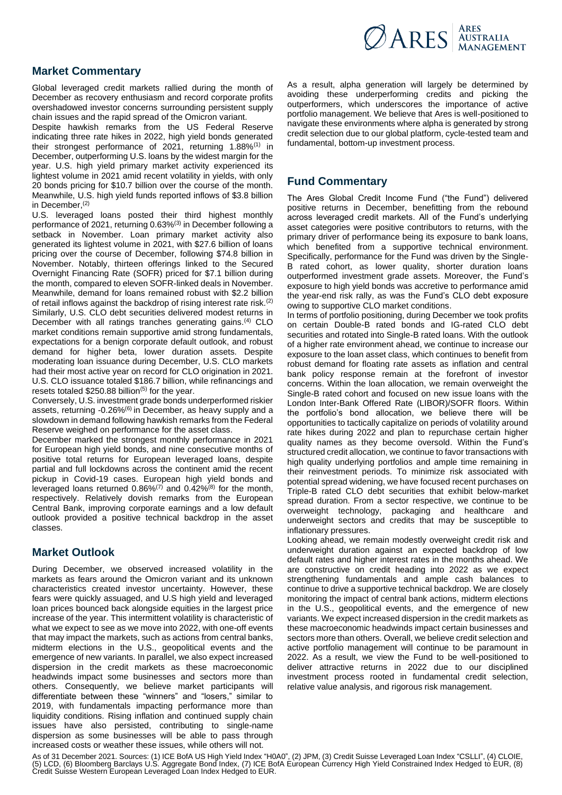

## **Market Commentary**

Global leveraged credit markets rallied during the month of December as recovery enthusiasm and record corporate profits overshadowed investor concerns surrounding persistent supply chain issues and the rapid spread of the Omicron variant.

Despite hawkish remarks from the US Federal Reserve indicating three rate hikes in 2022, high yield bonds generated their strongest performance of 2021, returning 1.88%<sup>(1)</sup> in December, outperforming U.S. loans by the widest margin for the year. U.S. high yield primary market activity experienced its lightest volume in 2021 amid recent volatility in yields, with only 20 bonds pricing for \$10.7 billion over the course of the month. Meanwhile, U.S. high yield funds reported inflows of \$3.8 billion in December, (2)

U.S. leveraged loans posted their third highest monthly performance of 2021, returning 0.63%(3) in December following a setback in November. Loan primary market activity also generated its lightest volume in 2021, with \$27.6 billion of loans pricing over the course of December, following \$74.8 billion in November. Notably, thirteen offerings linked to the Secured Overnight Financing Rate (SOFR) priced for \$7.1 billion during the month, compared to eleven SOFR-linked deals in November. Meanwhile, demand for loans remained robust with \$2.2 billion of retail inflows against the backdrop of rising interest rate risk.<sup>(2)</sup> Similarly, U.S. CLO debt securities delivered modest returns in December with all ratings tranches generating gains.<sup>(4)</sup> CLO market conditions remain supportive amid strong fundamentals, expectations for a benign corporate default outlook, and robust demand for higher beta, lower duration assets. Despite moderating loan issuance during December, U.S. CLO markets had their most active year on record for CLO origination in 2021. U.S. CLO issuance totaled \$186.7 billion, while refinancings and resets totaled  $$250.88$  billion<sup>(5)</sup> for the year.

Conversely, U.S. investment grade bonds underperformed riskier assets, returning -0.26%<sup>(6)</sup> in December, as heavy supply and a slowdown in demand following hawkish remarks from the Federal Reserve weighed on performance for the asset class.

December marked the strongest monthly performance in 2021 for European high yield bonds, and nine consecutive months of positive total returns for European leveraged loans, despite partial and full lockdowns across the continent amid the recent pickup in Covid-19 cases. European high yield bonds and leveraged loans returned  $0.86\%$ <sup>(7)</sup> and  $0.42\%$ <sup>(8)</sup> for the month, respectively. Relatively dovish remarks from the European Central Bank, improving corporate earnings and a low default outlook provided a positive technical backdrop in the asset classes.

## **Market Outlook**

During December, we observed increased volatility in the markets as fears around the Omicron variant and its unknown characteristics created investor uncertainty. However, these fears were quickly assuaged, and U.S high yield and leveraged loan prices bounced back alongside equities in the largest price increase of the year. This intermittent volatility is characteristic of what we expect to see as we move into 2022, with one-off events that may impact the markets, such as actions from central banks, midterm elections in the U.S., geopolitical events and the emergence of new variants. In parallel, we also expect increased dispersion in the credit markets as these macroeconomic headwinds impact some businesses and sectors more than others. Consequently, we believe market participants will differentiate between these "winners" and "losers," similar to 2019, with fundamentals impacting performance more than liquidity conditions. Rising inflation and continued supply chain issues have also persisted, contributing to single-name dispersion as some businesses will be able to pass through increased costs or weather these issues, while others will not.

As a result, alpha generation will largely be determined by avoiding these underperforming credits and picking the outperformers, which underscores the importance of active portfolio management. We believe that Ares is well-positioned to navigate these environments where alpha is generated by strong credit selection due to our global platform, cycle-tested team and fundamental, bottom-up investment process.

# **Fund Commentary**

The Ares Global Credit Income Fund ("the Fund") delivered positive returns in December, benefitting from the rebound across leveraged credit markets. All of the Fund's underlying asset categories were positive contributors to returns, with the primary driver of performance being its exposure to bank loans, which benefited from a supportive technical environment. Specifically, performance for the Fund was driven by the Single-B rated cohort, as lower quality, shorter duration loans outperformed investment grade assets. Moreover, the Fund's exposure to high yield bonds was accretive to performance amid the year-end risk rally, as was the Fund's CLO debt exposure owing to supportive CLO market conditions.

In terms of portfolio positioning, during December we took profits on certain Double-B rated bonds and IG-rated CLO debt securities and rotated into Single-B rated loans. With the outlook of a higher rate environment ahead, we continue to increase our exposure to the loan asset class, which continues to benefit from robust demand for floating rate assets as inflation and central bank policy response remain at the forefront of investor concerns. Within the loan allocation, we remain overweight the Single-B rated cohort and focused on new issue loans with the London Inter-Bank Offered Rate (LIBOR)/SOFR floors. Within the portfolio's bond allocation, we believe there will be opportunities to tactically capitalize on periods of volatility around rate hikes during 2022 and plan to repurchase certain higher quality names as they become oversold. Within the Fund's structured credit allocation, we continue to favor transactions with high quality underlying portfolios and ample time remaining in their reinvestment periods. To minimize risk associated with potential spread widening, we have focused recent purchases on Triple-B rated CLO debt securities that exhibit below-market spread duration. From a sector respective, we continue to be overweight technology, packaging and healthcare and underweight sectors and credits that may be susceptible to inflationary pressures.

Looking ahead, we remain modestly overweight credit risk and underweight duration against an expected backdrop of low default rates and higher interest rates in the months ahead. We are constructive on credit heading into 2022 as we expect strengthening fundamentals and ample cash balances to continue to drive a supportive technical backdrop. We are closely monitoring the impact of central bank actions, midterm elections in the U.S., geopolitical events, and the emergence of new variants. We expect increased dispersion in the credit markets as these macroeconomic headwinds impact certain businesses and sectors more than others. Overall, we believe credit selection and active portfolio management will continue to be paramount in 2022. As a result, we view the Fund to be well-positioned to deliver attractive returns in 2022 due to our disciplined investment process rooted in fundamental credit selection, relative value analysis, and rigorous risk management.

As of 31 December 2021. Sources: (1) ICE BofA US High Yield Index "H0A0", (2) JPM, (3) Credit Suisse Leveraged Loan Index "CSLLI", (4) CLOIE,<br>(5) LCD, (6) Bloomberg Barclays U.S. Aggregate Bond Index, (7) ICE BofA European Credit Suisse Western European Leveraged Loan Index Hedged to EUR.